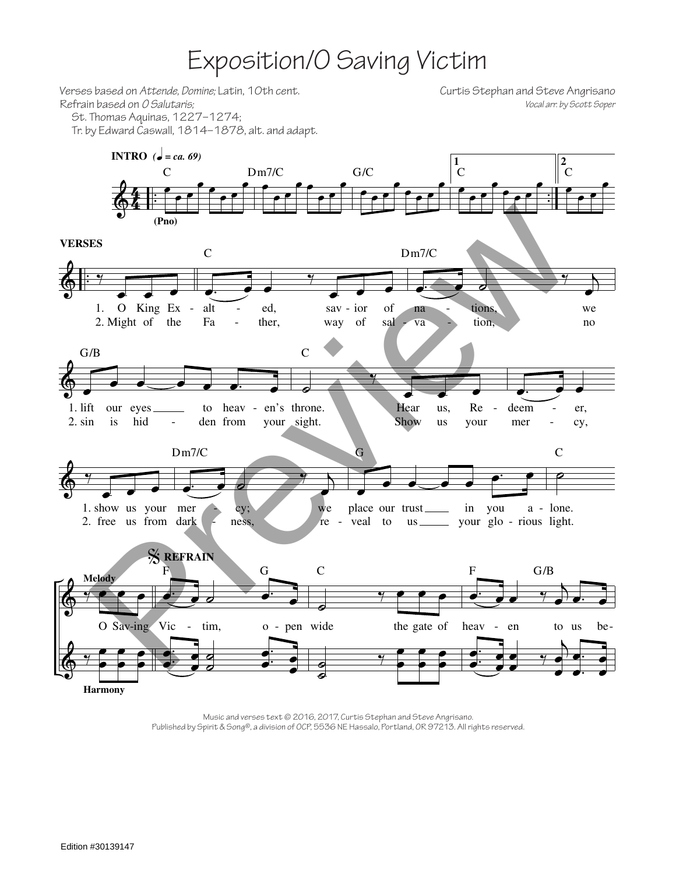## Exposition/O Saving Victim

Verses based on Attende, Domine; Latin, 10th cent. Curtis Stephan and Steve Angrisano Refrain based on O Salutaris; Vocal arr. by Scott Soper St. Thomas Aquinas, 1227-1274; Tr. by Edward Caswall, 1814–1878, alt. and adapt. **INTRO** ( $\bullet = ca.69$ )  $\frac{2}{C}$  $\mathbf{1}$  $G/C$  $\bar{c}$  $\overline{C}$  $Dm7/C$  $(Pro)$ **VERSES**  $\mathsf{C}$  $Dm7/C$ 1. O King Ex alt ed, tions,  $\mathbb{Z}$ sav - ior of we na 2. Might of Fa tion, the ther, of way sal va  $\rm no$  $G/B$  $\overline{C}$  $1.$  lift heav - en's throne. our eyes to Hear us. Re deem er,  $2. \sin$ is hid den from your sight. Show  $\frac{1}{2}$ us your mer cy,  $Dm7/C$  $\mathcal{C}$ Ġ z 1. show us your mer cy; we place our trust\_  $in$ you a - lone. 2. free us from dark veal to us \_\_\_\_\_\_\_ your glo - rious light. ness, re  $\overline{a}$ **SEFRAIN**  $\overline{C}$  $\overline{F}$ G  $G/B$ Melody O Sav-ing Vic tim, o - pen wide the gate of heav  $\omega_{\rm c}$ en to us be-**Harmony** 

> Music and verses text @ 2016, 2017, Curtis Stephan and Steve Angrisano. Published by Spirit & Song®, a division of OCP, 5536 NE Hassalo, Portland, OR 97213. All rights reserved.